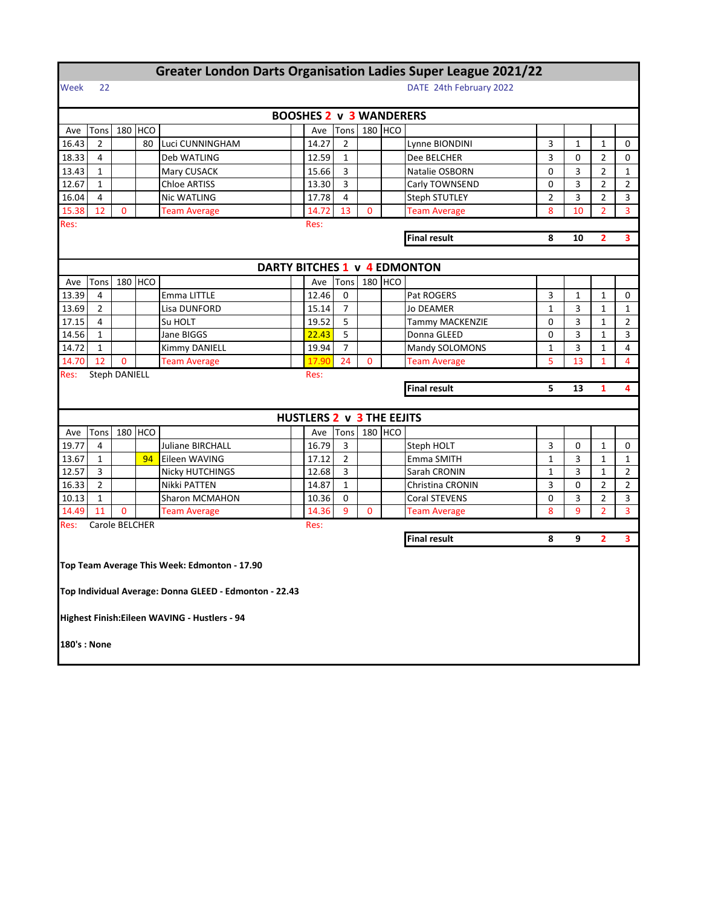|       |                                     |                |         | <b>Greater London Darts Organisation Ladies Super League 2021/22</b> |   |                                |                |                |         |                              |                |              |                |                |
|-------|-------------------------------------|----------------|---------|----------------------------------------------------------------------|---|--------------------------------|----------------|----------------|---------|------------------------------|----------------|--------------|----------------|----------------|
| Week  | 22                                  |                |         |                                                                      |   |                                |                |                |         | DATE 24th February 2022      |                |              |                |                |
|       |                                     |                |         |                                                                      |   | <b>BOOSHES 2 v 3 WANDERERS</b> |                |                |         |                              |                |              |                |                |
| Ave   | Tons                                |                | 180 HCO |                                                                      |   | Ave                            | Tons           |                | 180 HCO |                              |                |              |                |                |
| 16.43 | $\overline{2}$                      |                | 80      | Luci CUNNINGHAM                                                      |   | 14.27                          | $\overline{2}$ |                |         | Lynne BIONDINI               | 3              | $\mathbf{1}$ | $\mathbf{1}$   | 0              |
| 18.33 | 4<br>Deb WATLING                    |                |         |                                                                      |   |                                | $\mathbf{1}$   |                |         | Dee BELCHER                  | 3              | 0            | $\overline{2}$ | 0              |
| 13.43 | $\mathbf{1}$<br>Mary CUSACK         |                |         |                                                                      |   |                                | $\overline{3}$ |                |         | Natalie OSBORN               | $\mathbf 0$    | 3            | $\overline{2}$ | $\mathbf{1}$   |
| 12.67 | <b>Chloe ARTISS</b><br>$\mathbf{1}$ |                |         | 13.30                                                                | 3 |                                |                | Carly TOWNSEND | 0       | 3                            | 2              | 2            |                |                |
| 16.04 | 4                                   |                |         | <b>Nic WATLING</b>                                                   |   | 17.78                          | $\overline{4}$ |                |         | <b>Steph STUTLEY</b>         | $\overline{2}$ | 3            | $\overline{2}$ | 3              |
| 15.38 | 12                                  | 0              |         | <b>Team Average</b>                                                  |   | 14.72                          | 13             | 0              |         | <b>Team Average</b>          | 8              | 10           | $\overline{2}$ | $\overline{3}$ |
| Res:  |                                     |                |         |                                                                      |   | Res:                           |                |                |         |                              |                |              |                |                |
|       |                                     |                |         |                                                                      |   |                                |                |                |         | <b>Final result</b>          | 8              | 10           | $\overline{2}$ | 3              |
|       |                                     |                |         |                                                                      |   |                                |                |                |         |                              |                |              |                |                |
|       |                                     |                |         |                                                                      |   |                                |                |                |         | DARTY BITCHES 1 v 4 EDMONTON |                |              |                |                |
| Ave   | Tons                                |                | 180 HCO |                                                                      |   | Ave                            | Tons           |                | 180 HCO |                              |                |              |                |                |
| 13.39 | 4                                   |                |         | Emma LITTLE                                                          |   | 12.46                          | 0              |                |         | Pat ROGERS                   | 3              | 1            | 1              | 0              |
| 13.69 | 2                                   |                |         | Lisa DUNFORD                                                         |   | 15.14                          | $\overline{7}$ |                |         | Jo DEAMER                    | $\mathbf{1}$   | 3            | $\mathbf{1}$   | $\mathbf{1}$   |
| 17.15 | 4                                   |                |         | Su HOLT                                                              |   | 19.52                          | 5              |                |         | Tammy MACKENZIE              | 0              | 3            | $\mathbf{1}$   | $\overline{2}$ |
| 14.56 | $\mathbf{1}$                        |                |         | Jane BIGGS                                                           |   | 22.43                          | 5              |                |         | Donna GLEED                  | 0              | 3            | $\mathbf{1}$   | 3              |
| 14.72 | $\mathbf{1}$                        |                |         | Kimmy DANIELL                                                        |   | 19.94                          | $\overline{7}$ |                |         | Mandy SOLOMONS               | $\mathbf{1}$   | 3            | $\mathbf{1}$   | 4              |
| 14.70 | 12                                  | $\mathbf 0$    |         | <b>Team Average</b>                                                  |   | 17.90                          | 24             | 0              |         | <b>Team Average</b>          | 5              | 13           | 1              | $\overline{4}$ |
| Res:  | <b>Steph DANIELL</b><br>Res:        |                |         |                                                                      |   |                                |                |                |         |                              |                |              |                |                |
|       |                                     |                |         |                                                                      |   |                                |                |                |         | <b>Final result</b>          | 5              | 13           | 1              | 4              |
|       |                                     |                |         |                                                                      |   |                                |                |                |         |                              |                |              |                |                |
|       |                                     |                |         |                                                                      |   | HUSTLERS 2 v 3 THE EEJITS      |                |                |         |                              |                |              |                |                |
| Ave   | Tons                                |                | 180 HCO |                                                                      |   | Ave                            | Tons           |                | 180 HCO |                              |                |              |                |                |
| 19.77 | 4                                   |                |         | Juliane BIRCHALL                                                     |   | 16.79                          | 3              |                |         | Steph HOLT                   | 3              | 0            | 1              | 0              |
| 13.67 | 1                                   |                | 94      | Eileen WAVING                                                        |   | 17.12                          | $\overline{2}$ |                |         | Emma SMITH                   | $\mathbf{1}$   | 3            | 1              | $\mathbf{1}$   |
| 12.57 | 3                                   |                |         | Nicky HUTCHINGS                                                      |   | 12.68                          | 3              |                |         | Sarah CRONIN                 | $\mathbf{1}$   | 3            | $\mathbf{1}$   | $\overline{2}$ |
| 16.33 | $\overline{2}$                      |                |         | Nikki PATTEN                                                         |   | 14.87                          | $\mathbf{1}$   |                |         | Christina CRONIN             | 3              | 0            | $\overline{2}$ | $\overline{2}$ |
| 10.13 | $\mathbf{1}$                        |                |         | Sharon MCMAHON                                                       |   | 10.36                          | $\mathbf 0$    |                |         | Coral STEVENS                | 0              | 3            | $\overline{2}$ | 3              |
| 14.49 | 11                                  | $\mathbf 0$    |         | <b>Team Average</b>                                                  |   | 14.36                          | 9              | $\mathbf{0}$   |         | <b>Team Average</b>          | 8              | 9            | $\overline{2}$ | 3              |
| Res:  |                                     | Carole BELCHER |         |                                                                      |   | Res:                           |                |                |         |                              |                |              |                |                |
|       |                                     |                |         |                                                                      |   |                                |                |                |         | <b>Final result</b>          | 8              | 9            | $\overline{2}$ | 3              |
|       |                                     |                |         | Top Team Average This Week: Edmonton - 17.90                         |   |                                |                |                |         |                              |                |              |                |                |
|       |                                     |                |         |                                                                      |   |                                |                |                |         |                              |                |              |                |                |
|       |                                     |                |         | Top Individual Average: Donna GLEED - Edmonton - 22.43               |   |                                |                |                |         |                              |                |              |                |                |
|       |                                     |                |         | Highest Finish: Eileen WAVING - Hustlers - 94                        |   |                                |                |                |         |                              |                |              |                |                |
|       | 180's: None                         |                |         |                                                                      |   |                                |                |                |         |                              |                |              |                |                |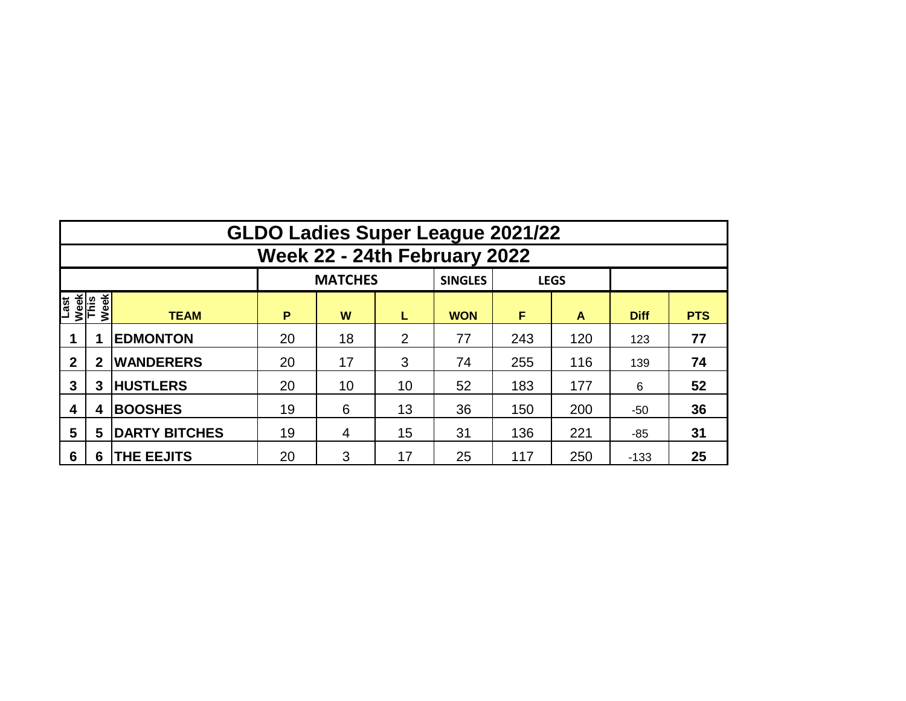|                              | <b>GLDO Ladies Super League 2021/22</b> |                      |    |                |    |                               |     |     |             |            |  |  |  |  |  |
|------------------------------|-----------------------------------------|----------------------|----|----------------|----|-------------------------------|-----|-----|-------------|------------|--|--|--|--|--|
|                              | Week 22 - 24th February 2022            |                      |    |                |    |                               |     |     |             |            |  |  |  |  |  |
|                              |                                         |                      |    | <b>MATCHES</b> |    | <b>SINGLES</b><br><b>LEGS</b> |     |     |             |            |  |  |  |  |  |
| Last<br>Week<br>This<br>Week |                                         | <b>TEAM</b>          | P  | W              | L  | <b>WON</b>                    | F   | A   | <b>Diff</b> | <b>PTS</b> |  |  |  |  |  |
|                              |                                         | <b>EDMONTON</b>      | 20 | 18             | 2  | 77                            | 243 | 120 | 123         | 77         |  |  |  |  |  |
| $\mathbf{2}$                 | $\overline{2}$                          | <b>WANDERERS</b>     | 20 | 17             | 3  | 74                            | 255 | 116 | 139         | 74         |  |  |  |  |  |
| 3                            | 3                                       | <b>HUSTLERS</b>      | 20 | 10             | 10 | 52                            | 183 | 177 | 6           | 52         |  |  |  |  |  |
| 4                            | 4                                       | <b>BOOSHES</b>       | 19 | 6              | 13 | 36                            | 150 | 200 | $-50$       | 36         |  |  |  |  |  |
| 5                            | 5                                       | <b>DARTY BITCHES</b> | 19 | 4              | 15 | 31                            | 136 | 221 | -85         | 31         |  |  |  |  |  |
| 6                            | 6                                       | <b>THE EEJITS</b>    | 20 | 3              | 17 | 25                            | 117 | 250 | $-133$      | 25         |  |  |  |  |  |